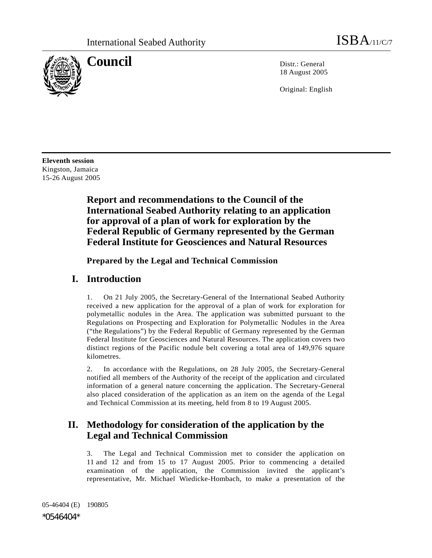

**Council** Distribution Distribution Distribution Distribution Distribution Distribution Distribution Distribution Distribution Distribution Distribution Distribution Distribution Distribution Distribution Distribution Dist 18 August 2005

Original: English

**Eleventh session**  Kingston, Jamaica 15-26 August 2005

> **Report and recommendations to the Council of the International Seabed Authority relating to an application for approval of a plan of work for exploration by the Federal Republic of Germany represented by the German Federal Institute for Geosciences and Natural Resources**

 **Prepared by the Legal and Technical Commission** 

### **I. Introduction**

1. On 21 July 2005, the Secretary-General of the International Seabed Authority received a new application for the approval of a plan of work for exploration for polymetallic nodules in the Area. The application was submitted pursuant to the Regulations on Prospecting and Exploration for Polymetallic Nodules in the Area ("the Regulations") by the Federal Republic of Germany represented by the German Federal Institute for Geosciences and Natural Resources. The application covers two distinct regions of the Pacific nodule belt covering a total area of 149,976 square kilometres.

2. In accordance with the Regulations, on 28 July 2005, the Secretary-General notified all members of the Authority of the receipt of the application and circulated information of a general nature concerning the application. The Secretary-General also placed consideration of the application as an item on the agenda of the Legal and Technical Commission at its meeting, held from 8 to 19 August 2005.

## **II. Methodology for consideration of the application by the Legal and Technical Commission**

3. The Legal and Technical Commission met to consider the application on 11 and 12 and from 15 to 17 August 2005. Prior to commencing a detailed examination of the application, the Commission invited the applicant's representative, Mr. Michael Wiedicke-Hombach, to make a presentation of the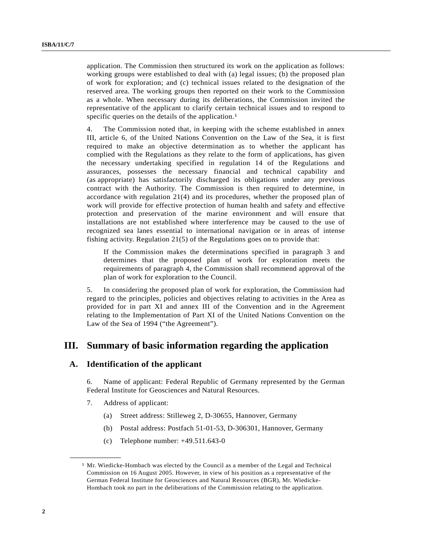application. The Commission then structured its work on the application as follows: working groups were established to deal with (a) legal issues; (b) the proposed plan of work for exploration; and (c) technical issues related to the designation of the reserved area. The working groups then reported on their work to the Commission as a whole. When necessary during its deliberations, the Commission invited the representative of the applicant to clarify certain technical issues and to respond to specific queries on the details of the application.<sup>1</sup>

4. The Commission noted that, in keeping with the scheme established in annex III, article 6, of the United Nations Convention on the Law of the Sea, it is first required to make an objective determination as to whether the applicant has complied with the Regulations as they relate to the form of applications, has given the necessary undertaking specified in regulation 14 of the Regulations and assurances, possesses the necessary financial and technical capability and (as appropriate) has satisfactorily discharged its obligations under any previous contract with the Authority. The Commission is then required to determine, in accordance with regulation 21(4) and its procedures, whether the proposed plan of work will provide for effective protection of human health and safety and effective protection and preservation of the marine environment and will ensure that installations are not established where interference may be caused to the use of recognized sea lanes essential to international navigation or in areas of intense fishing activity. Regulation 21(5) of the Regulations goes on to provide that:

If the Commission makes the determinations specified in paragraph 3 and determines that the proposed plan of work for exploration meets the requirements of paragraph 4, the Commission shall recommend approval of the plan of work for exploration to the Council.

5. In considering the proposed plan of work for exploration, the Commission had regard to the principles, policies and objectives relating to activities in the Area as provided for in part XI and annex III of the Convention and in the Agreement relating to the Implementation of Part XI of the United Nations Convention on the Law of the Sea of 1994 ("the Agreement").

### **III. Summary of basic information regarding the application**

#### **A. Identification of the applicant**

6. Name of applicant: Federal Republic of Germany represented by the German Federal Institute for Geosciences and Natural Resources.

7. Address of applicant:

**\_\_\_\_\_\_\_\_\_\_\_\_\_\_\_\_\_\_** 

- (a) Street address: Stilleweg 2, D-30655, Hannover, Germany
- (b) Postal address: Postfach 51-01-53, D-306301, Hannover, Germany
- (c) Telephone number: +49.511.643-0

<sup>1</sup> Mr. Wiedicke-Hombach was elected by the Council as a member of the Legal and Technical Commission on 16 August 2005. However, in view of his position as a representative of the German Federal Institute for Geosciences and Natural Resources (BGR), Mr. Wiedicke-Hombach took no part in the deliberations of the Commission relating to the application.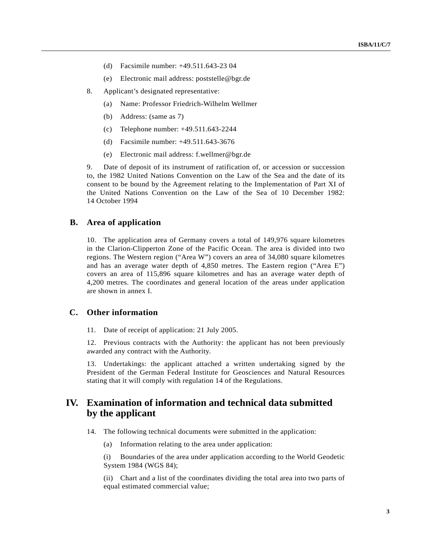- (d) Facsimile number: +49.511.643-23 04
- (e) Electronic mail address: poststelle@bgr.de
- 8. Applicant's designated representative:
	- (a) Name: Professor Friedrich-Wilhelm Wellmer
	- (b) Address: (same as 7)
	- (c) Telephone number: +49.511.643-2244
	- (d) Facsimile number: +49.511.643-3676
	- (e) Electronic mail address: f.wellmer@bgr.de

9. Date of deposit of its instrument of ratification of, or accession or succession to, the 1982 United Nations Convention on the Law of the Sea and the date of its consent to be bound by the Agreement relating to the Implementation of Part XI of the United Nations Convention on the Law of the Sea of 10 December 1982: 14 October 1994

#### **B. Area of application**

10. The application area of Germany covers a total of 149,976 square kilometres in the Clarion-Clipperton Zone of the Pacific Ocean. The area is divided into two regions. The Western region ("Area W") covers an area of 34,080 square kilometres and has an average water depth of 4,850 metres. The Eastern region ("Area E") covers an area of 115,896 square kilometres and has an average water depth of 4,200 metres. The coordinates and general location of the areas under application are shown in annex I.

#### **C. Other information**

11. Date of receipt of application: 21 July 2005.

12. Previous contracts with the Authority: the applicant has not been previously awarded any contract with the Authority.

13. Undertakings: the applicant attached a written undertaking signed by the President of the German Federal Institute for Geosciences and Natural Resources stating that it will comply with regulation 14 of the Regulations.

### **IV. Examination of information and technical data submitted by the applicant**

- 14. The following technical documents were submitted in the application:
	- (a) Information relating to the area under application:

 (i) Boundaries of the area under application according to the World Geodetic System 1984 (WGS 84);

 (ii) Chart and a list of the coordinates dividing the total area into two parts of equal estimated commercial value;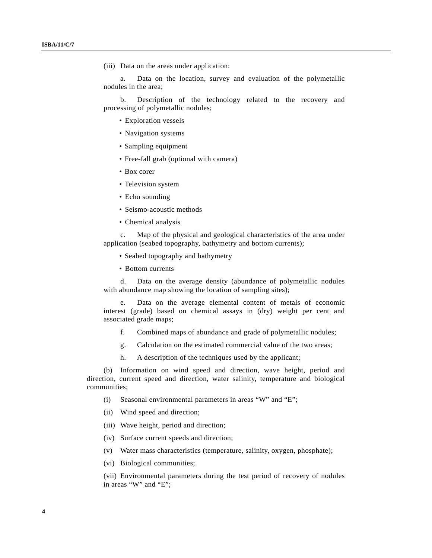(iii) Data on the areas under application:

 a. Data on the location, survey and evaluation of the polymetallic nodules in the area;

 b. Description of the technology related to the recovery and processing of polymetallic nodules;

- Exploration vessels
- Navigation systems
- Sampling equipment
- Free-fall grab (optional with camera)
- Box corer
- Television system
- Echo sounding
- Seismo-acoustic methods
- Chemical analysis

 c. Map of the physical and geological characteristics of the area under application (seabed topography, bathymetry and bottom currents);

- Seabed topography and bathymetry
- Bottom currents

 d. Data on the average density (abundance of polymetallic nodules with abundance map showing the location of sampling sites);

 e. Data on the average elemental content of metals of economic interest (grade) based on chemical assays in (dry) weight per cent and associated grade maps;

- f. Combined maps of abundance and grade of polymetallic nodules;
- g. Calculation on the estimated commercial value of the two areas;
- h. A description of the techniques used by the applicant;

 (b) Information on wind speed and direction, wave height, period and direction, current speed and direction, water salinity, temperature and biological communities;

- (i) Seasonal environmental parameters in areas "W" and "E";
- (ii) Wind speed and direction;
- (iii) Wave height, period and direction;
- (iv) Surface current speeds and direction;
- (v) Water mass characteristics (temperature, salinity, oxygen, phosphate);
- (vi) Biological communities;

 (vii) Environmental parameters during the test period of recovery of nodules in areas "W" and "E";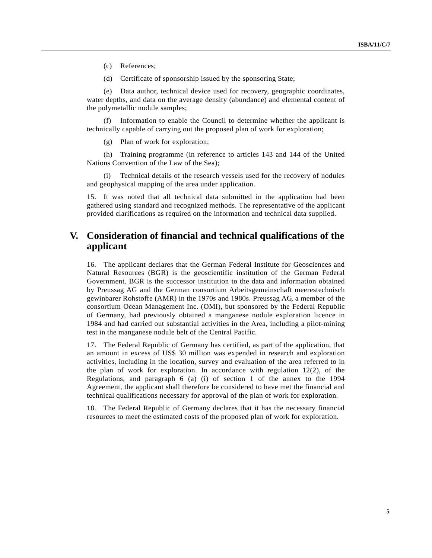(c) References;

(d) Certificate of sponsorship issued by the sponsoring State;

 (e) Data author, technical device used for recovery, geographic coordinates, water depths, and data on the average density (abundance) and elemental content of the polymetallic nodule samples;

Information to enable the Council to determine whether the applicant is technically capable of carrying out the proposed plan of work for exploration;

(g) Plan of work for exploration;

 (h) Training programme (in reference to articles 143 and 144 of the United Nations Convention of the Law of the Sea);

Technical details of the research vessels used for the recovery of nodules and geophysical mapping of the area under application.

15. It was noted that all technical data submitted in the application had been gathered using standard and recognized methods. The representative of the applicant provided clarifications as required on the information and technical data supplied.

### **V. Consideration of financial and technical qualifications of the applicant**

16. The applicant declares that the German Federal Institute for Geosciences and Natural Resources (BGR) is the geoscientific institution of the German Federal Government. BGR is the successor institution to the data and information obtained by Preussag AG and the German consortium Arbeitsgemeinschaft meerestechnisch gewinbarer Rohstoffe (AMR) in the 1970s and 1980s. Preussag AG, a member of the consortium Ocean Management Inc. (OMI), but sponsored by the Federal Republic of Germany, had previously obtained a manganese nodule exploration licence in 1984 and had carried out substantial activities in the Area, including a pilot-mining test in the manganese nodule belt of the Central Pacific.

17. The Federal Republic of Germany has certified, as part of the application, that an amount in excess of US\$ 30 million was expended in research and exploration activities, including in the location, survey and evaluation of the area referred to in the plan of work for exploration. In accordance with regulation  $12(2)$ , of the Regulations, and paragraph 6 (a) (i) of section 1 of the annex to the 1994 Agreement, the applicant shall therefore be considered to have met the financial and technical qualifications necessary for approval of the plan of work for exploration.

18. The Federal Republic of Germany declares that it has the necessary financial resources to meet the estimated costs of the proposed plan of work for exploration.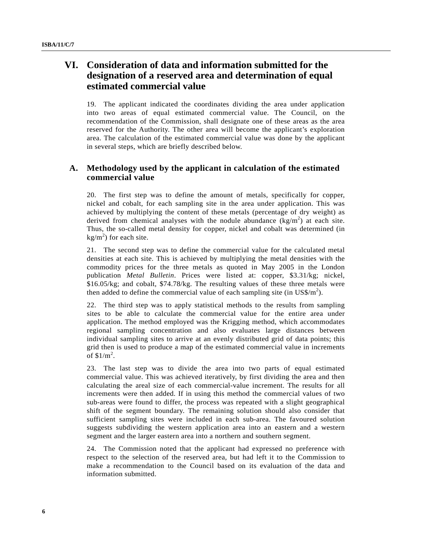### **VI. Consideration of data and information submitted for the designation of a reserved area and determination of equal estimated commercial value**

19. The applicant indicated the coordinates dividing the area under application into two areas of equal estimated commercial value. The Council, on the recommendation of the Commission, shall designate one of these areas as the area reserved for the Authority. The other area will become the applicant's exploration area. The calculation of the estimated commercial value was done by the applicant in several steps, which are briefly described below.

### **A. Methodology used by the applicant in calculation of the estimated commercial value**

20. The first step was to define the amount of metals, specifically for copper, nickel and cobalt, for each sampling site in the area under application. This was achieved by multiplying the content of these metals (percentage of dry weight) as derived from chemical analyses with the nodule abundance  $(kg/m<sup>2</sup>)$  at each site. Thus, the so-called metal density for copper, nickel and cobalt was determined (in  $kg/m<sup>2</sup>$ ) for each site.

21. The second step was to define the commercial value for the calculated metal densities at each site. This is achieved by multiplying the metal densities with the commodity prices for the three metals as quoted in May 2005 in the London publication *Metal Bulletin*. Prices were listed at: copper, \$3.31/kg; nickel, \$16.05/kg; and cobalt, \$74.78/kg. The resulting values of these three metals were then added to define the commercial value of each sampling site (in  $\text{US}\$/\text{m}^2$ ).

22. The third step was to apply statistical methods to the results from sampling sites to be able to calculate the commercial value for the entire area under application. The method employed was the Krigging method, which accommodates regional sampling concentration and also evaluates large distances between individual sampling sites to arrive at an evenly distributed grid of data points; this grid then is used to produce a map of the estimated commercial value in increments of  $$1/m^2$ .

23. The last step was to divide the area into two parts of equal estimated commercial value. This was achieved iteratively, by first dividing the area and then calculating the areal size of each commercial-value increment. The results for all increments were then added. If in using this method the commercial values of two sub-areas were found to differ, the process was repeated with a slight geographical shift of the segment boundary. The remaining solution should also consider that sufficient sampling sites were included in each sub-area. The favoured solution suggests subdividing the western application area into an eastern and a western segment and the larger eastern area into a northern and southern segment.

24. The Commission noted that the applicant had expressed no preference with respect to the selection of the reserved area, but had left it to the Commission to make a recommendation to the Council based on its evaluation of the data and information submitted.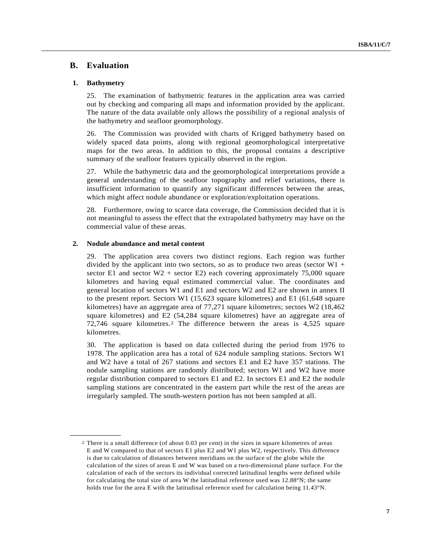#### **B. Evaluation**

#### **1. Bathymetry**

**\_\_\_\_\_\_\_\_\_\_\_\_\_\_\_\_\_\_** 

25. The examination of bathymetric features in the application area was carried out by checking and comparing all maps and information provided by the applicant. The nature of the data available only allows the possibility of a regional analysis of the bathymetry and seafloor geomorphology.

26. The Commission was provided with charts of Krigged bathymetry based on widely spaced data points, along with regional geomorphological interpretative maps for the two areas. In addition to this, the proposal contains a descriptive summary of the seafloor features typically observed in the region.

27. While the bathymetric data and the geomorphological interpretations provide a general understanding of the seafloor topography and relief variations, there is insufficient information to quantify any significant differences between the areas, which might affect nodule abundance or exploration/exploitation operations.

28. Furthermore, owing to scarce data coverage, the Commission decided that it is not meaningful to assess the effect that the extrapolated bathymetry may have on the commercial value of these areas.

#### **2. Nodule abundance and metal content**

29. The application area covers two distinct regions. Each region was further divided by the applicant into two sectors, so as to produce two areas (sector  $W1$  + sector E1 and sector  $W2$  + sector E2) each covering approximately 75,000 square kilometres and having equal estimated commercial value. The coordinates and general location of sectors W1 and E1 and sectors W2 and E2 are shown in annex II to the present report. Sectors W1 (15,623 square kilometres) and E1 (61,648 square kilometres) have an aggregate area of 77,271 square kilometres; sectors W2 (18,462 square kilometres) and E2 (54,284 square kilometres) have an aggregate area of 72,746 square kilometres.2 The difference between the areas is 4,525 square kilometres.

30. The application is based on data collected during the period from 1976 to 1978. The application area has a total of 624 nodule sampling stations. Sectors W1 and W2 have a total of 267 stations and sectors E1 and E2 have 357 stations. The nodule sampling stations are randomly distributed; sectors W1 and W2 have more regular distribution compared to sectors E1 and E2. In sectors E1 and E2 the nodule sampling stations are concentrated in the eastern part while the rest of the areas are irregularly sampled. The south-western portion has not been sampled at all.

<sup>2</sup> There is a small difference (of about 0.03 per cent) in the sizes in square kilometres of areas E and W compared to that of sectors E1 plus E2 and W1 plus W2, respectively. This difference is due to calculation of distances between meridians on the surface of the globe while the calculation of the sizes of areas E and W was based on a two-dimensional plane surface. For the calculation of each of the sectors its individual corrected latitudinal lengths were defined while for calculating the total size of area W the latitudinal reference used was 12.88°N; the same holds true for the area E with the latitudinal reference used for calculation being 11.43°N.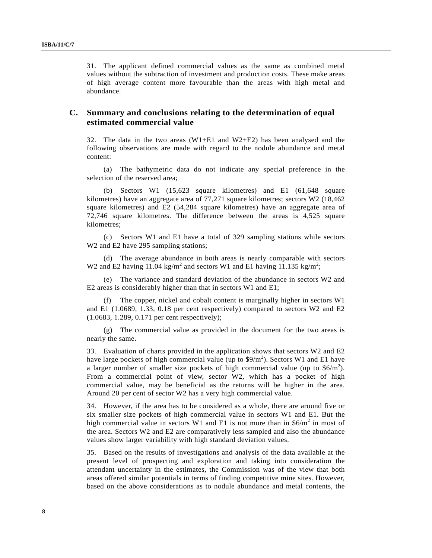31. The applicant defined commercial values as the same as combined metal values without the subtraction of investment and production costs. These make areas of high average content more favourable than the areas with high metal and abundance.

### **C. Summary and conclusions relating to the determination of equal estimated commercial value**

32. The data in the two areas (W1+E1 and W2+E2) has been analysed and the following observations are made with regard to the nodule abundance and metal content:

 (a) The bathymetric data do not indicate any special preference in the selection of the reserved area;

 (b) Sectors W1 (15,623 square kilometres) and E1 (61,648 square kilometres) have an aggregate area of 77,271 square kilometres; sectors W2 (18,462 square kilometres) and E2 (54,284 square kilometres) have an aggregate area of 72,746 square kilometres. The difference between the areas is 4,525 square kilometres;

 (c) Sectors W1 and E1 have a total of 329 sampling stations while sectors W<sub>2</sub> and E<sub>2</sub> have 295 sampling stations;

 (d) The average abundance in both areas is nearly comparable with sectors W2 and E2 having 11.04 kg/m<sup>2</sup> and sectors W1 and E1 having 11.135 kg/m<sup>2</sup>;

 (e) The variance and standard deviation of the abundance in sectors W2 and E2 areas is considerably higher than that in sectors W1 and E1;

 (f) The copper, nickel and cobalt content is marginally higher in sectors W1 and E1 (1.0689, 1.33, 0.18 per cent respectively) compared to sectors W2 and E2 (1.0683, 1.289, 0.171 per cent respectively);

 (g) The commercial value as provided in the document for the two areas is nearly the same.

33. Evaluation of charts provided in the application shows that sectors W2 and E2 have large pockets of high commercial value (up to  $\frac{1}{2}$ ). Sectors W1 and E1 have a larger number of smaller size pockets of high commercial value (up to  $$6/m^2$ ). From a commercial point of view, sector W2, which has a pocket of high commercial value, may be beneficial as the returns will be higher in the area. Around 20 per cent of sector W2 has a very high commercial value.

34. However, if the area has to be considered as a whole, there are around five or six smaller size pockets of high commercial value in sectors W1 and E1. But the high commercial value in sectors W1 and E1 is not more than in  $$6/m^2$  in most of the area. Sectors W2 and E2 are comparatively less sampled and also the abundance values show larger variability with high standard deviation values.

35. Based on the results of investigations and analysis of the data available at the present level of prospecting and exploration and taking into consideration the attendant uncertainty in the estimates, the Commission was of the view that both areas offered similar potentials in terms of finding competitive mine sites. However, based on the above considerations as to nodule abundance and metal contents, the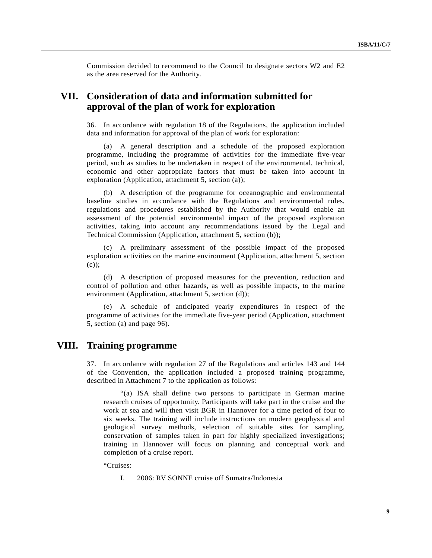Commission decided to recommend to the Council to designate sectors W2 and E2 as the area reserved for the Authority.

### **VII. Consideration of data and information submitted for approval of the plan of work for exploration**

36. In accordance with regulation 18 of the Regulations, the application included data and information for approval of the plan of work for exploration:

A general description and a schedule of the proposed exploration programme, including the programme of activities for the immediate five-year period, such as studies to be undertaken in respect of the environmental, technical, economic and other appropriate factors that must be taken into account in exploration (Application, attachment 5, section (a));

 (b) A description of the programme for oceanographic and environmental baseline studies in accordance with the Regulations and environmental rules, regulations and procedures established by the Authority that would enable an assessment of the potential environmental impact of the proposed exploration activities, taking into account any recommendations issued by the Legal and Technical Commission (Application, attachment 5, section (b));

 (c) A preliminary assessment of the possible impact of the proposed exploration activities on the marine environment (Application, attachment 5, section (c));

 (d) A description of proposed measures for the prevention, reduction and control of pollution and other hazards, as well as possible impacts, to the marine environment (Application, attachment 5, section (d));

 (e) A schedule of anticipated yearly expenditures in respect of the programme of activities for the immediate five-year period (Application, attachment 5, section (a) and page 96).

### **VIII. Training programme**

37. In accordance with regulation 27 of the Regulations and articles 143 and 144 of the Convention, the application included a proposed training programme, described in Attachment 7 to the application as follows:

 "(a) ISA shall define two persons to participate in German marine research cruises of opportunity. Participants will take part in the cruise and the work at sea and will then visit BGR in Hannover for a time period of four to six weeks. The training will include instructions on modern geophysical and geological survey methods, selection of suitable sites for sampling, conservation of samples taken in part for highly specialized investigations; training in Hannover will focus on planning and conceptual work and completion of a cruise report.

"Cruises:

I. 2006: RV SONNE cruise off Sumatra/Indonesia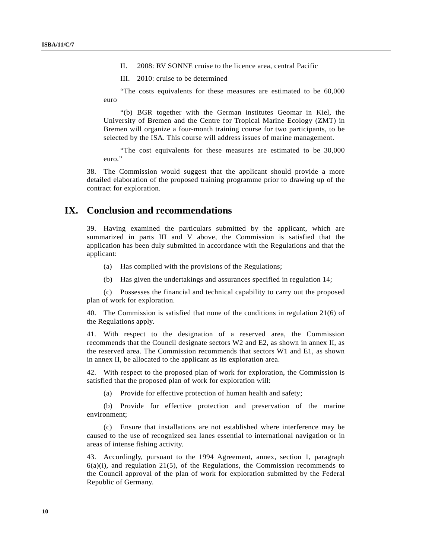II. 2008: RV SONNE cruise to the licence area, central Pacific

III. 2010: cruise to be determined

 "The costs equivalents for these measures are estimated to be 60,000 euro

 "(b) BGR together with the German institutes Geomar in Kiel, the University of Bremen and the Centre for Tropical Marine Ecology (ZMT) in Bremen will organize a four-month training course for two participants, to be selected by the ISA. This course will address issues of marine management.

 "The cost equivalents for these measures are estimated to be 30,000 euro."

38. The Commission would suggest that the applicant should provide a more detailed elaboration of the proposed training programme prior to drawing up of the contract for exploration.

### **IX. Conclusion and recommendations**

39. Having examined the particulars submitted by the applicant, which are summarized in parts III and V above, the Commission is satisfied that the application has been duly submitted in accordance with the Regulations and that the applicant:

- (a) Has complied with the provisions of the Regulations;
- (b) Has given the undertakings and assurances specified in regulation 14;

 (c) Possesses the financial and technical capability to carry out the proposed plan of work for exploration.

40. The Commission is satisfied that none of the conditions in regulation 21(6) of the Regulations apply.

41. With respect to the designation of a reserved area, the Commission recommends that the Council designate sectors W2 and E2, as shown in annex II, as the reserved area. The Commission recommends that sectors W1 and E1, as shown in annex II, be allocated to the applicant as its exploration area.

42. With respect to the proposed plan of work for exploration, the Commission is satisfied that the proposed plan of work for exploration will:

(a) Provide for effective protection of human health and safety;

 (b) Provide for effective protection and preservation of the marine environment;

 (c) Ensure that installations are not established where interference may be caused to the use of recognized sea lanes essential to international navigation or in areas of intense fishing activity.

43. Accordingly, pursuant to the 1994 Agreement, annex, section 1, paragraph  $6(a)(i)$ , and regulation 21(5), of the Regulations, the Commission recommends to the Council approval of the plan of work for exploration submitted by the Federal Republic of Germany.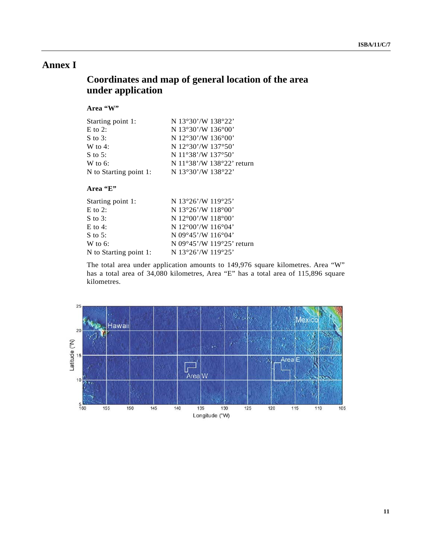## **Annex I**

## **Coordinates and map of general location of the area under application**

#### **Area "W"**

| Starting point 1:      | N 13°30'/W 138°22'        |
|------------------------|---------------------------|
| $E$ to 2:              | N 13°30'/W 136°00'        |
| S to 3:                | N 12°30'/W 136°00'        |
| W to 4:                | N $12°30'$ /W $137°50'$   |
| S to 5:                | N 11°38'/W 137°50'        |
| W to 6:                | N 11°38'/W 138°22' return |
| N to Starting point 1: | N 13°30'/W 138°22'        |

#### **Area "E"**

| Starting point 1:      | N 13°26'/W 119°25'                           |
|------------------------|----------------------------------------------|
| $E$ to 2:              | N $13^{\circ}26'$ /W $118^{\circ}00'$        |
| $S$ to 3:              | N $12^{\circ}00'$ /W $118^{\circ}00'$        |
| $E$ to 4:              | N $12^{\circ}00'$ /W $116^{\circ}04'$        |
| S to $5$ :             | N $09^{\circ}45'$ /W $116^{\circ}04'$        |
| W to $6$ :             | N $09^{\circ}45'$ /W $119^{\circ}25'$ return |
| N to Starting point 1: | N $13^{\circ}26'$ /W $119^{\circ}25'$        |

The total area under application amounts to 149,976 square kilometres. Area "W" has a total area of 34,080 kilometres, Area "E" has a total area of 115,896 square kilometres.